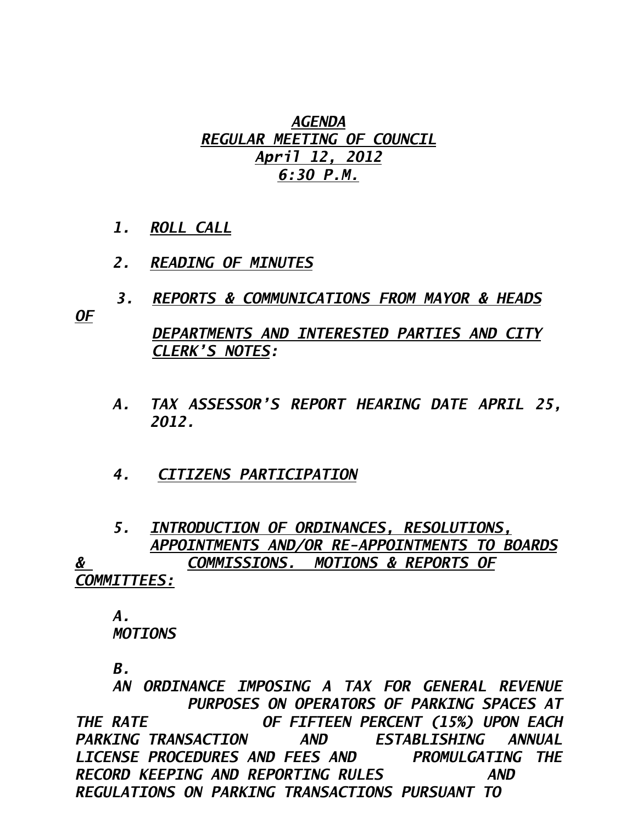## *AGENDA REGULAR MEETING OF COUNCIL April 12, 2012 6:30 P.M.*

- *1. ROLL CALL*
- *2. READING OF MINUTES*
- *3. REPORTS & COMMUNICATIONS FROM MAYOR & HEADS*

*OF* 

 *DEPARTMENTS AND INTERESTED PARTIES AND CITY CLERK'S NOTES:* 

- *A. TAX ASSESSOR'S REPORT HEARING DATE APRIL 25, 2012.*
- *4. CITIZENS PARTICIPATION*

 *5. INTRODUCTION OF ORDINANCES, RESOLUTIONS, APPOINTMENTS AND/OR RE-APPOINTMENTS TO BOARDS & COMMISSIONS. MOTIONS & REPORTS OF COMMITTEES:*

 *A. MOTIONS* 

 *B.* 

 *AN ORDINANCE IMPOSING A TAX FOR GENERAL REVENUE PURPOSES ON OPERATORS OF PARKING SPACES AT THE RATE OF FIFTEEN PERCENT (15%) UPON EACH PARKING TRANSACTION AND ESTABLISHING ANNUAL LICENSE PROCEDURES AND FEES AND PROMULGATING THE RECORD KEEPING AND REPORTING RULES AND REGULATIONS ON PARKING TRANSACTIONS PURSUANT TO*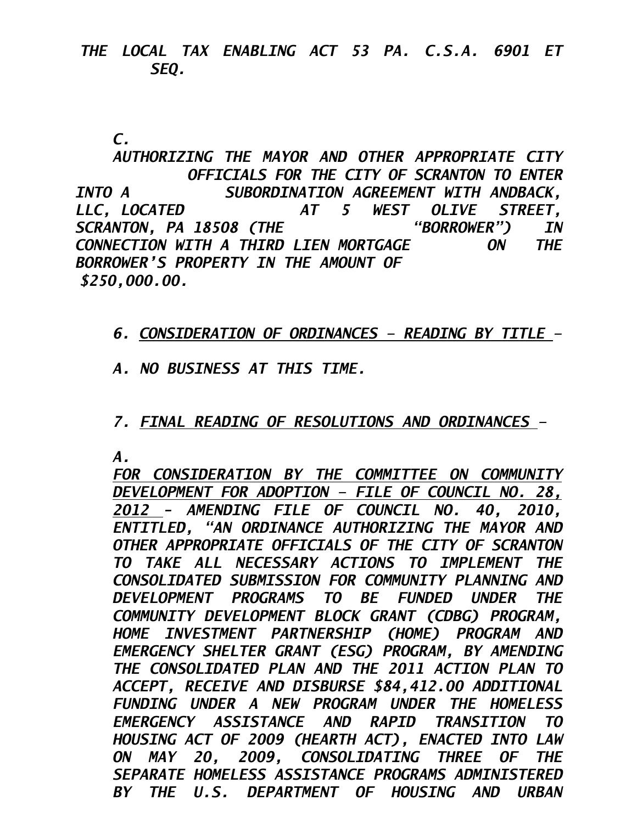## *THE LOCAL TAX ENABLING ACT 53 PA. C.S.A. 6901 ET SEQ.*

 *C.* 

 *AUTHORIZING THE MAYOR AND OTHER APPROPRIATE CITY OFFICIALS FOR THE CITY OF SCRANTON TO ENTER INTO A SUBORDINATION AGREEMENT WITH ANDBACK, LLC, LOCATED AT 5 WEST OLIVE STREET, SCRANTON, PA 18508 (THE "BORROWER") IN CONNECTION WITH A THIRD LIEN MORTGAGE ON THE BORROWER'S PROPERTY IN THE AMOUNT OF \$250,000.00.* 

 *6. CONSIDERATION OF ORDINANCES – READING BY TITLE –* 

 *A. NO BUSINESS AT THIS TIME.* 

## *7. FINAL READING OF RESOLUTIONS AND ORDINANCES –*

*A.* 

*FOR CONSIDERATION BY THE COMMITTEE ON COMMUNITY DEVELOPMENT FOR ADOPTION – FILE OF COUNCIL NO. 28, 2012 - AMENDING FILE OF COUNCIL NO. 40, 2010, ENTITLED, "AN ORDINANCE AUTHORIZING THE MAYOR AND OTHER APPROPRIATE OFFICIALS OF THE CITY OF SCRANTON TO TAKE ALL NECESSARY ACTIONS TO IMPLEMENT THE CONSOLIDATED SUBMISSION FOR COMMUNITY PLANNING AND DEVELOPMENT PROGRAMS TO BE FUNDED UNDER THE COMMUNITY DEVELOPMENT BLOCK GRANT (CDBG) PROGRAM, HOME INVESTMENT PARTNERSHIP (HOME) PROGRAM AND EMERGENCY SHELTER GRANT (ESG) PROGRAM, BY AMENDING THE CONSOLIDATED PLAN AND THE 2011 ACTION PLAN TO ACCEPT, RECEIVE AND DISBURSE \$84,412.00 ADDITIONAL FUNDING UNDER A NEW PROGRAM UNDER THE HOMELESS EMERGENCY ASSISTANCE AND RAPID TRANSITION TO HOUSING ACT OF 2009 (HEARTH ACT), ENACTED INTO LAW ON MAY 20, 2009, CONSOLIDATING THREE OF THE SEPARATE HOMELESS ASSISTANCE PROGRAMS ADMINISTERED BY THE U.S. DEPARTMENT OF HOUSING AND URBAN*